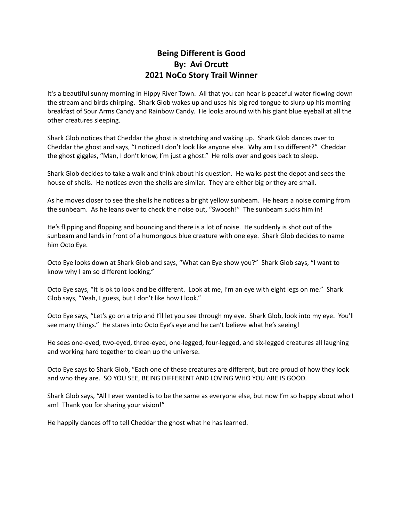## **Being Different is Good By: Avi Orcutt 2021 NoCo Story Trail Winner**

It's a beautiful sunny morning in Hippy River Town. All that you can hear is peaceful water flowing down the stream and birds chirping. Shark Glob wakes up and uses his big red tongue to slurp up his morning breakfast of Sour Arms Candy and Rainbow Candy. He looks around with his giant blue eyeball at all the other creatures sleeping.

Shark Glob notices that Cheddar the ghost is stretching and waking up. Shark Glob dances over to Cheddar the ghost and says, "I noticed I don't look like anyone else. Why am I so different?" Cheddar the ghost giggles, "Man, I don't know, I'm just a ghost." He rolls over and goes back to sleep.

Shark Glob decides to take a walk and think about his question. He walks past the depot and sees the house of shells. He notices even the shells are similar. They are either big or they are small.

As he moves closer to see the shells he notices a bright yellow sunbeam. He hears a noise coming from the sunbeam. As he leans over to check the noise out, "Swoosh!" The sunbeam sucks him in!

He's flipping and flopping and bouncing and there is a lot of noise. He suddenly is shot out of the sunbeam and lands in front of a humongous blue creature with one eye. Shark Glob decides to name him Octo Eye.

Octo Eye looks down at Shark Glob and says, "What can Eye show you?" Shark Glob says, "I want to know why I am so different looking."

Octo Eye says, "It is ok to look and be different. Look at me, I'm an eye with eight legs on me." Shark Glob says, "Yeah, I guess, but I don't like how I look."

Octo Eye says, "Let's go on a trip and I'll let you see through my eye. Shark Glob, look into my eye. You'll see many things." He stares into Octo Eye's eye and he can't believe what he's seeing!

He sees one-eyed, two-eyed, three-eyed, one-legged, four-legged, and six-legged creatures all laughing and working hard together to clean up the universe.

Octo Eye says to Shark Glob, "Each one of these creatures are different, but are proud of how they look and who they are. SO YOU SEE, BEING DIFFERENT AND LOVING WHO YOU ARE IS GOOD.

Shark Glob says, "All I ever wanted is to be the same as everyone else, but now I'm so happy about who I am! Thank you for sharing your vision!"

He happily dances off to tell Cheddar the ghost what he has learned.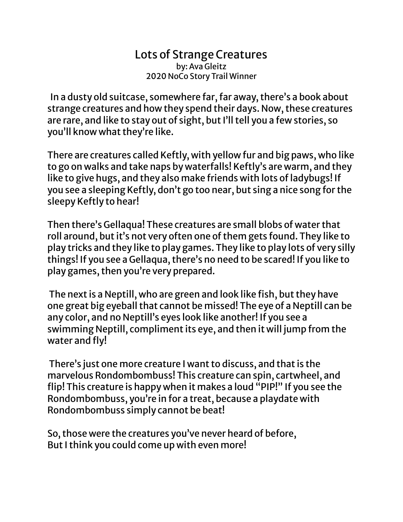## Lots of Strange Creatures by: Ava Gleitz 2020 NoCo Story Trail Winner

In a dusty old suitcase, somewhere far, far away, there's a book about strange creatures and how they spend their days. Now, these creatures are rare, and like to stay out of sight, but I'll tell you a few stories, so you'll know what they're like.

There are creatures called Keftly, with yellow fur and big paws, who like to go on walks and take naps by waterfalls! Keftly's are warm, and they like to give hugs, and they also make friends with lots of ladybugs! If you see a sleeping Keftly, don't go too near, but sing a nice song for the sleepy Keftly to hear!

Then there's Gellaqua! These creatures are small blobs of water that roll around, but it's not very often one of them gets found. They like to play tricks and they like to play games. They like to play lots of very silly things! If you see a Gellaqua, there's no need to be scared! If you like to play games, then you're very prepared.

The next is a Neptill, who are green and look like fish, but they have one great big eyeball that cannot be missed! The eye of a Neptill can be any color, and no Neptill's eyes look like another! If you see a swimming Neptill, compliment its eye, and then it will jump from the water and fly!

There's just one more creature I want to discuss, and that is the marvelous Rondombombuss! This creature can spin, cartwheel, and flip! This creature is happy when it makes a loud "PIP!" If you see the Rondombombuss, you're in for a treat, because a playdate with Rondombombuss simply cannot be beat!

So, those were the creatures you've never heard of before, But I think you could come up with even more!